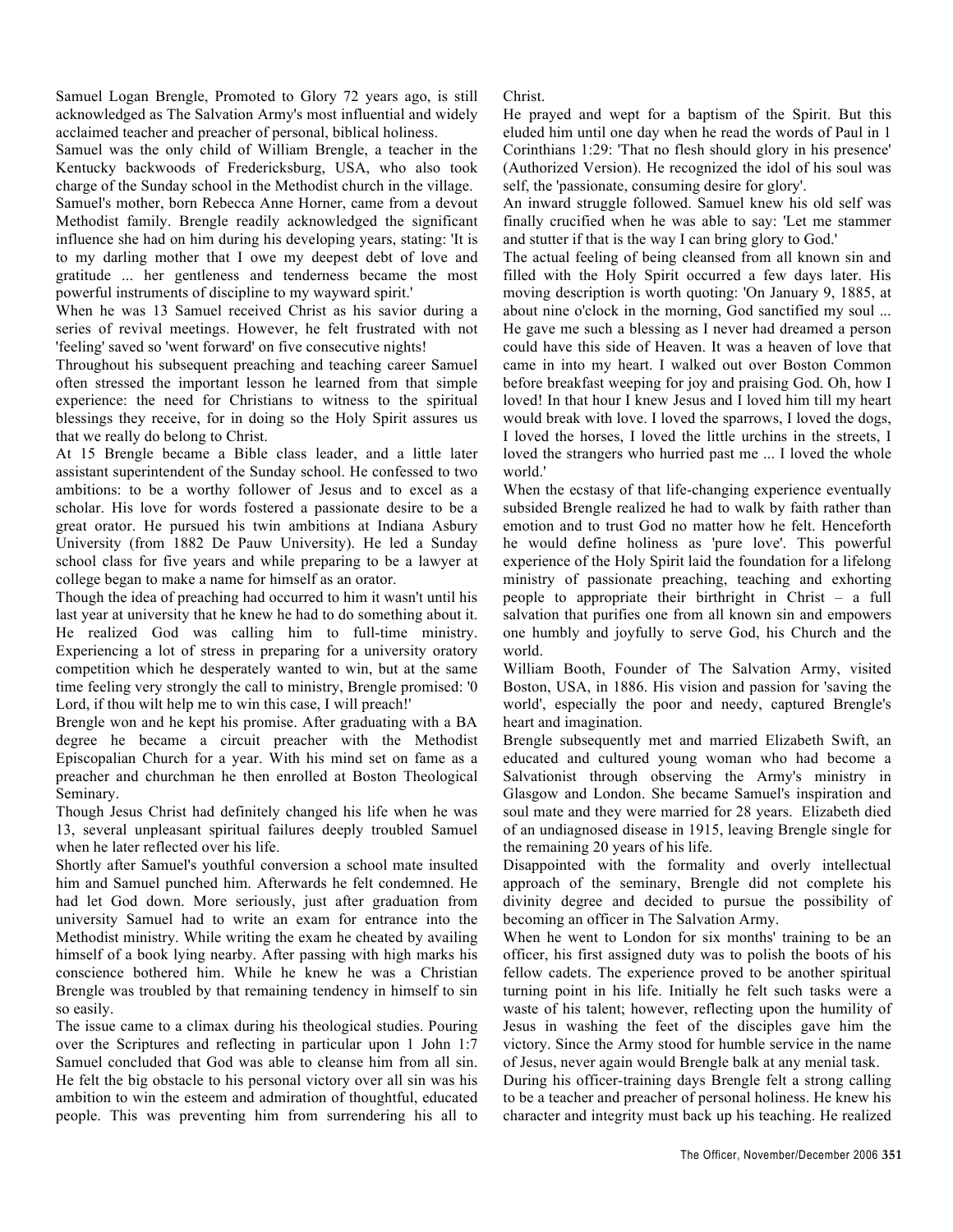Samuel Logan Brengle, Promoted to Glory 72 years ago, is still acknowledged as The Salvation Army's most influential and widely acclaimed teacher and preacher of personal, biblical holiness.

Samuel was the only child of William Brengle, a teacher in the Kentucky backwoods of Fredericksburg, USA, who also took charge of the Sunday school in the Methodist church in the village. Samuel's mother, born Rebecca Anne Horner, came from a devout Methodist family. Brengle readily acknowledged the significant influence she had on him during his developing years, stating: 'It is to my darling mother that I owe my deepest debt of love and gratitude ... her gentleness and tenderness became the most powerful instruments of discipline to my wayward spirit.'

When he was 13 Samuel received Christ as his savior during a series of revival meetings. However, he felt frustrated with not 'feeling' saved so 'went forward' on five consecutive nights!

Throughout his subsequent preaching and teaching career Samuel often stressed the important lesson he learned from that simple experience: the need for Christians to witness to the spiritual blessings they receive, for in doing so the Holy Spirit assures us that we really do belong to Christ.

At 15 Brengle became a Bible class leader, and a little later assistant superintendent of the Sunday school. He confessed to two ambitions: to be a worthy follower of Jesus and to excel as a scholar. His love for words fostered a passionate desire to be a great orator. He pursued his twin ambitions at Indiana Asbury University (from 1882 De Pauw University). He led a Sunday school class for five years and while preparing to be a lawyer at college began to make a name for himself as an orator.

Though the idea of preaching had occurred to him it wasn't until his last year at university that he knew he had to do something about it. He realized God was calling him to full-time ministry. Experiencing a lot of stress in preparing for a university oratory competition which he desperately wanted to win, but at the same time feeling very strongly the call to ministry, Brengle promised: '0 Lord, if thou wilt help me to win this case, I will preach!'

Brengle won and he kept his promise. After graduating with a BA degree he became a circuit preacher with the Methodist Episcopalian Church for a year. With his mind set on fame as a preacher and churchman he then enrolled at Boston Theological Seminary.

Though Jesus Christ had definitely changed his life when he was 13, several unpleasant spiritual failures deeply troubled Samuel when he later reflected over his life.

Shortly after Samuel's youthful conversion a school mate insulted him and Samuel punched him. Afterwards he felt condemned. He had let God down. More seriously, just after graduation from university Samuel had to write an exam for entrance into the Methodist ministry. While writing the exam he cheated by availing himself of a book lying nearby. After passing with high marks his conscience bothered him. While he knew he was a Christian Brengle was troubled by that remaining tendency in himself to sin so easily.

The issue came to a climax during his theological studies. Pouring over the Scriptures and reflecting in particular upon 1 John 1:7 Samuel concluded that God was able to cleanse him from all sin. He felt the big obstacle to his personal victory over all sin was his ambition to win the esteem and admiration of thoughtful, educated people. This was preventing him from surrendering his all to Christ.

He prayed and wept for a baptism of the Spirit. But this eluded him until one day when he read the words of Paul in 1 Corinthians 1:29: 'That no flesh should glory in his presence' (Authorized Version). He recognized the idol of his soul was self, the 'passionate, consuming desire for glory'.

An inward struggle followed. Samuel knew his old self was finally crucified when he was able to say: 'Let me stammer and stutter if that is the way I can bring glory to God.'

The actual feeling of being cleansed from all known sin and filled with the Holy Spirit occurred a few days later. His moving description is worth quoting: 'On January 9, 1885, at about nine o'clock in the morning, God sanctified my soul ... He gave me such a blessing as I never had dreamed a person could have this side of Heaven. It was a heaven of love that came in into my heart. I walked out over Boston Common before breakfast weeping for joy and praising God. Oh, how I loved! In that hour I knew Jesus and I loved him till my heart would break with love. I loved the sparrows, I loved the dogs, I loved the horses, I loved the little urchins in the streets, I loved the strangers who hurried past me ... I loved the whole world.'

When the ecstasy of that life-changing experience eventually subsided Brengle realized he had to walk by faith rather than emotion and to trust God no matter how he felt. Henceforth he would define holiness as 'pure love'. This powerful experience of the Holy Spirit laid the foundation for a lifelong ministry of passionate preaching, teaching and exhorting people to appropriate their birthright in Christ – a full salvation that purifies one from all known sin and empowers one humbly and joyfully to serve God, his Church and the world.

William Booth, Founder of The Salvation Army, visited Boston, USA, in 1886. His vision and passion for 'saving the world', especially the poor and needy, captured Brengle's heart and imagination.

Brengle subsequently met and married Elizabeth Swift, an educated and cultured young woman who had become a Salvationist through observing the Army's ministry in Glasgow and London. She became Samuel's inspiration and soul mate and they were married for 28 years. Elizabeth died of an undiagnosed disease in 1915, leaving Brengle single for the remaining 20 years of his life.

Disappointed with the formality and overly intellectual approach of the seminary, Brengle did not complete his divinity degree and decided to pursue the possibility of becoming an officer in The Salvation Army.

When he went to London for six months' training to be an officer, his first assigned duty was to polish the boots of his fellow cadets. The experience proved to be another spiritual turning point in his life. Initially he felt such tasks were a waste of his talent; however, reflecting upon the humility of Jesus in washing the feet of the disciples gave him the victory. Since the Army stood for humble service in the name of Jesus, never again would Brengle balk at any menial task.

During his officer-training days Brengle felt a strong calling to be a teacher and preacher of personal holiness. He knew his character and integrity must back up his teaching. He realized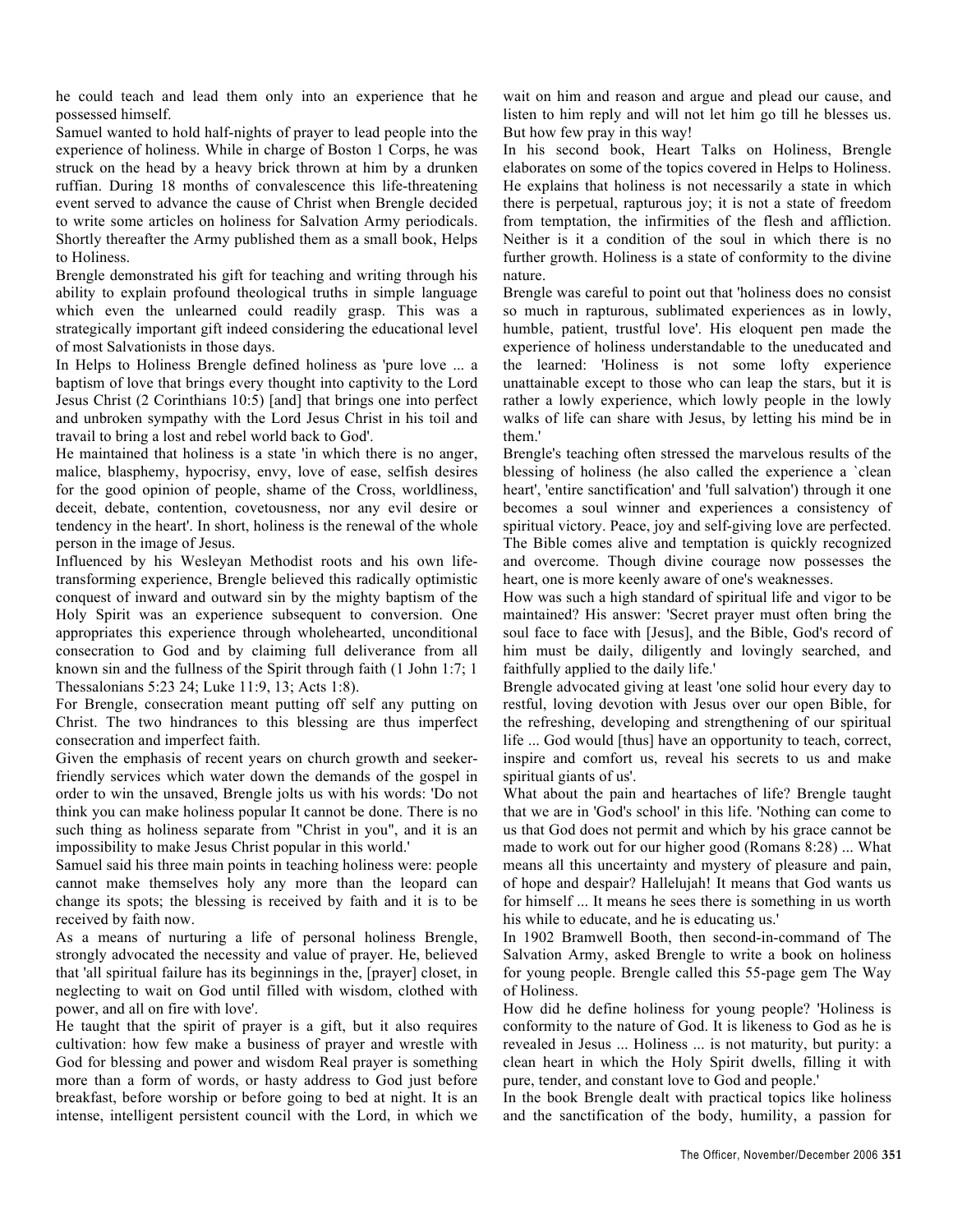he could teach and lead them only into an experience that he possessed himself.

Samuel wanted to hold half-nights of prayer to lead people into the experience of holiness. While in charge of Boston 1 Corps, he was struck on the head by a heavy brick thrown at him by a drunken ruffian. During 18 months of convalescence this life-threatening event served to advance the cause of Christ when Brengle decided to write some articles on holiness for Salvation Army periodicals. Shortly thereafter the Army published them as a small book, Helps to Holiness.

Brengle demonstrated his gift for teaching and writing through his ability to explain profound theological truths in simple language which even the unlearned could readily grasp. This was a strategically important gift indeed considering the educational level of most Salvationists in those days.

In Helps to Holiness Brengle defined holiness as 'pure love ... a baptism of love that brings every thought into captivity to the Lord Jesus Christ (2 Corinthians 10:5) [and] that brings one into perfect and unbroken sympathy with the Lord Jesus Christ in his toil and travail to bring a lost and rebel world back to God'.

He maintained that holiness is a state 'in which there is no anger, malice, blasphemy, hypocrisy, envy, love of ease, selfish desires for the good opinion of people, shame of the Cross, worldliness, deceit, debate, contention, covetousness, nor any evil desire or tendency in the heart'. In short, holiness is the renewal of the whole person in the image of Jesus.

Influenced by his Wesleyan Methodist roots and his own lifetransforming experience, Brengle believed this radically optimistic conquest of inward and outward sin by the mighty baptism of the Holy Spirit was an experience subsequent to conversion. One appropriates this experience through wholehearted, unconditional consecration to God and by claiming full deliverance from all known sin and the fullness of the Spirit through faith (1 John 1:7; 1 Thessalonians 5:23 24; Luke 11:9, 13; Acts 1:8).

For Brengle, consecration meant putting off self any putting on Christ. The two hindrances to this blessing are thus imperfect consecration and imperfect faith.

Given the emphasis of recent years on church growth and seekerfriendly services which water down the demands of the gospel in order to win the unsaved, Brengle jolts us with his words: 'Do not think you can make holiness popular It cannot be done. There is no such thing as holiness separate from "Christ in you", and it is an impossibility to make Jesus Christ popular in this world.'

Samuel said his three main points in teaching holiness were: people cannot make themselves holy any more than the leopard can change its spots; the blessing is received by faith and it is to be received by faith now.

As a means of nurturing a life of personal holiness Brengle, strongly advocated the necessity and value of prayer. He, believed that 'all spiritual failure has its beginnings in the, [prayer] closet, in neglecting to wait on God until filled with wisdom, clothed with power, and all on fire with love'.

He taught that the spirit of prayer is a gift, but it also requires cultivation: how few make a business of prayer and wrestle with God for blessing and power and wisdom Real prayer is something more than a form of words, or hasty address to God just before breakfast, before worship or before going to bed at night. It is an intense, intelligent persistent council with the Lord, in which we wait on him and reason and argue and plead our cause, and listen to him reply and will not let him go till he blesses us. But how few pray in this way!

In his second book, Heart Talks on Holiness, Brengle elaborates on some of the topics covered in Helps to Holiness. He explains that holiness is not necessarily a state in which there is perpetual, rapturous joy; it is not a state of freedom from temptation, the infirmities of the flesh and affliction. Neither is it a condition of the soul in which there is no further growth. Holiness is a state of conformity to the divine nature.

Brengle was careful to point out that 'holiness does no consist so much in rapturous, sublimated experiences as in lowly, humble, patient, trustful love'. His eloquent pen made the experience of holiness understandable to the uneducated and the learned: 'Holiness is not some lofty experience unattainable except to those who can leap the stars, but it is rather a lowly experience, which lowly people in the lowly walks of life can share with Jesus, by letting his mind be in them.'

Brengle's teaching often stressed the marvelous results of the blessing of holiness (he also called the experience a 'clean heart', 'entire sanctification' and 'full salvation') through it one becomes a soul winner and experiences a consistency of spiritual victory. Peace, joy and self-giving love are perfected. The Bible comes alive and temptation is quickly recognized and overcome. Though divine courage now possesses the heart, one is more keenly aware of one's weaknesses.

How was such a high standard of spiritual life and vigor to be maintained? His answer: 'Secret prayer must often bring the soul face to face with [Jesus], and the Bible, God's record of him must be daily, diligently and lovingly searched, and faithfully applied to the daily life.'

Brengle advocated giving at least 'one solid hour every day to restful, loving devotion with Jesus over our open Bible, for the refreshing, developing and strengthening of our spiritual life ... God would [thus] have an opportunity to teach, correct, inspire and comfort us, reveal his secrets to us and make spiritual giants of us'.

What about the pain and heartaches of life? Brengle taught that we are in 'God's school' in this life. 'Nothing can come to us that God does not permit and which by his grace cannot be made to work out for our higher good (Romans 8:28) ... What means all this uncertainty and mystery of pleasure and pain, of hope and despair? Hallelujah! It means that God wants us for himself ... It means he sees there is something in us worth his while to educate, and he is educating us.'

In 1902 Bramwell Booth, then second-in-command of The Salvation Army, asked Brengle to write a book on holiness for young people. Brengle called this 55-page gem The Way of Holiness.

How did he define holiness for young people? 'Holiness is conformity to the nature of God. It is likeness to God as he is revealed in Jesus ... Holiness ... is not maturity, but purity: a clean heart in which the Holy Spirit dwells, filling it with pure, tender, and constant love to God and people.'

In the book Brengle dealt with practical topics like holiness and the sanctification of the body, humility, a passion for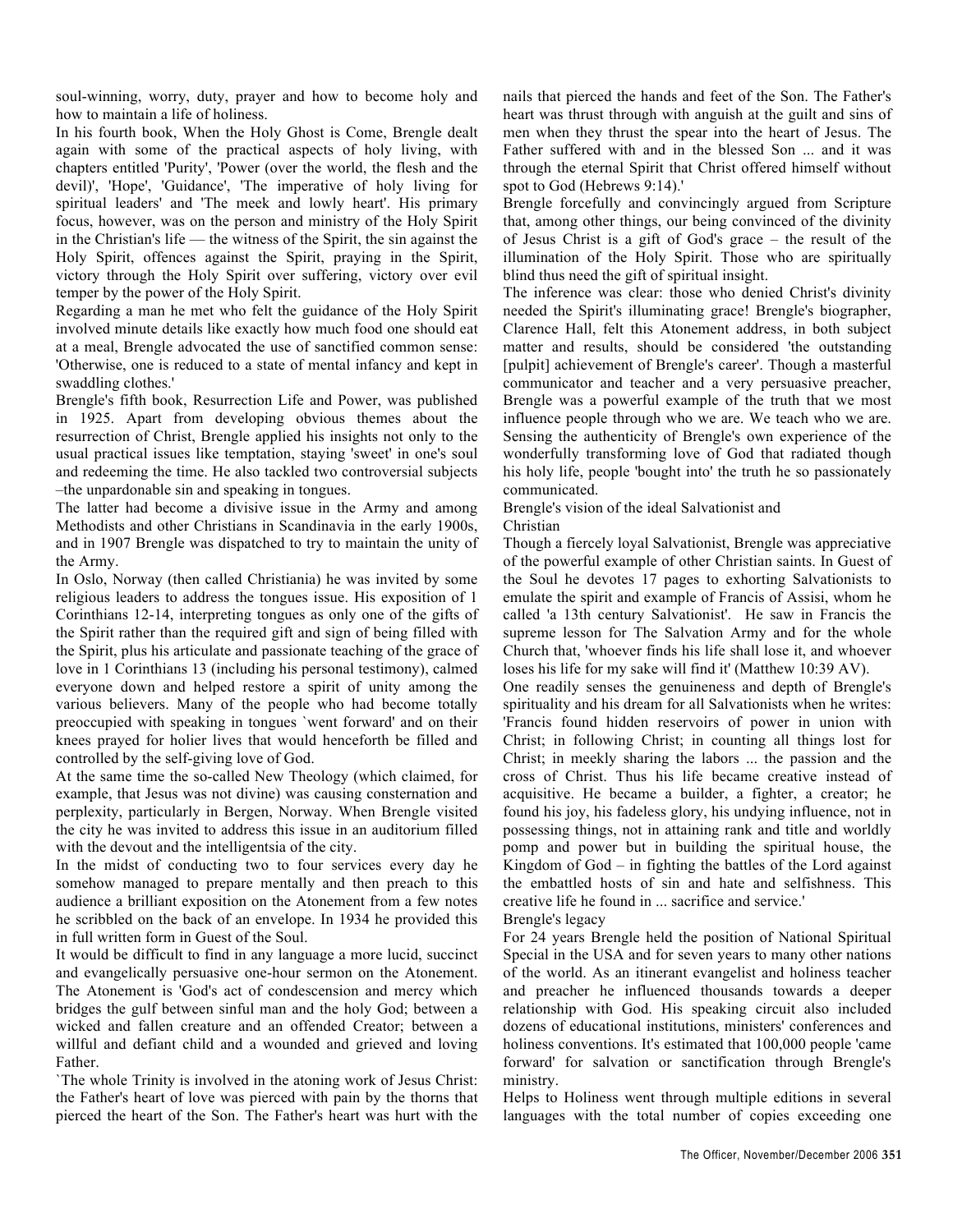soul-winning, worry, duty, prayer and how to become holy and how to maintain a life of holiness.

In his fourth book, When the Holy Ghost is Come, Brengle dealt again with some of the practical aspects of holy living, with chapters entitled 'Purity', 'Power (over the world, the flesh and the devil)', 'Hope', 'Guidance', 'The imperative of holy living for spiritual leaders' and 'The meek and lowly heart'. His primary focus, however, was on the person and ministry of the Holy Spirit in the Christian's life — the witness of the Spirit, the sin against the Holy Spirit, offences against the Spirit, praying in the Spirit, victory through the Holy Spirit over suffering, victory over evil temper by the power of the Holy Spirit.

Regarding a man he met who felt the guidance of the Holy Spirit involved minute details like exactly how much food one should eat at a meal, Brengle advocated the use of sanctified common sense: 'Otherwise, one is reduced to a state of mental infancy and kept in swaddling clothes.'

Brengle's fifth book, Resurrection Life and Power, was published in 1925. Apart from developing obvious themes about the resurrection of Christ, Brengle applied his insights not only to the usual practical issues like temptation, staying 'sweet' in one's soul and redeeming the time. He also tackled two controversial subjects –the unpardonable sin and speaking in tongues.

The latter had become a divisive issue in the Army and among Methodists and other Christians in Scandinavia in the early 1900s, and in 1907 Brengle was dispatched to try to maintain the unity of the Army.

In Oslo, Norway (then called Christiania) he was invited by some religious leaders to address the tongues issue. His exposition of 1 Corinthians 12-14, interpreting tongues as only one of the gifts of the Spirit rather than the required gift and sign of being filled with the Spirit, plus his articulate and passionate teaching of the grace of love in 1 Corinthians 13 (including his personal testimony), calmed everyone down and helped restore a spirit of unity among the various believers. Many of the people who had become totally preoccupied with speaking in tongues `went forward' and on their knees prayed for holier lives that would henceforth be filled and controlled by the self-giving love of God.

At the same time the so-called New Theology (which claimed, for example, that Jesus was not divine) was causing consternation and perplexity, particularly in Bergen, Norway. When Brengle visited the city he was invited to address this issue in an auditorium filled with the devout and the intelligentsia of the city.

In the midst of conducting two to four services every day he somehow managed to prepare mentally and then preach to this audience a brilliant exposition on the Atonement from a few notes he scribbled on the back of an envelope. In 1934 he provided this in full written form in Guest of the Soul.

It would be difficult to find in any language a more lucid, succinct and evangelically persuasive one-hour sermon on the Atonement. The Atonement is 'God's act of condescension and mercy which bridges the gulf between sinful man and the holy God; between a wicked and fallen creature and an offended Creator; between a willful and defiant child and a wounded and grieved and loving Father.

`The whole Trinity is involved in the atoning work of Jesus Christ: the Father's heart of love was pierced with pain by the thorns that pierced the heart of the Son. The Father's heart was hurt with the nails that pierced the hands and feet of the Son. The Father's heart was thrust through with anguish at the guilt and sins of men when they thrust the spear into the heart of Jesus. The Father suffered with and in the blessed Son ... and it was through the eternal Spirit that Christ offered himself without spot to God (Hebrews 9:14).'

Brengle forcefully and convincingly argued from Scripture that, among other things, our being convinced of the divinity of Jesus Christ is a gift of God's grace – the result of the illumination of the Holy Spirit. Those who are spiritually blind thus need the gift of spiritual insight.

The inference was clear: those who denied Christ's divinity needed the Spirit's illuminating grace! Brengle's biographer, Clarence Hall, felt this Atonement address, in both subject matter and results, should be considered 'the outstanding [pulpit] achievement of Brengle's career'. Though a masterful communicator and teacher and a very persuasive preacher, Brengle was a powerful example of the truth that we most influence people through who we are. We teach who we are. Sensing the authenticity of Brengle's own experience of the wonderfully transforming love of God that radiated though his holy life, people 'bought into' the truth he so passionately communicated.

Brengle's vision of the ideal Salvationist and

Christian

Though a fiercely loyal Salvationist, Brengle was appreciative of the powerful example of other Christian saints. In Guest of the Soul he devotes 17 pages to exhorting Salvationists to emulate the spirit and example of Francis of Assisi, whom he called 'a 13th century Salvationist'. He saw in Francis the supreme lesson for The Salvation Army and for the whole Church that, 'whoever finds his life shall lose it, and whoever loses his life for my sake will find it' (Matthew 10:39 AV).

One readily senses the genuineness and depth of Brengle's spirituality and his dream for all Salvationists when he writes: 'Francis found hidden reservoirs of power in union with Christ; in following Christ; in counting all things lost for Christ; in meekly sharing the labors ... the passion and the cross of Christ. Thus his life became creative instead of acquisitive. He became a builder, a fighter, a creator; he found his joy, his fadeless glory, his undying influence, not in possessing things, not in attaining rank and title and worldly pomp and power but in building the spiritual house, the Kingdom of God – in fighting the battles of the Lord against the embattled hosts of sin and hate and selfishness. This creative life he found in ... sacrifice and service.'

## Brengle's legacy

For 24 years Brengle held the position of National Spiritual Special in the USA and for seven years to many other nations of the world. As an itinerant evangelist and holiness teacher and preacher he influenced thousands towards a deeper relationship with God. His speaking circuit also included dozens of educational institutions, ministers' conferences and holiness conventions. It's estimated that 100,000 people 'came forward' for salvation or sanctification through Brengle's ministry.

Helps to Holiness went through multiple editions in several languages with the total number of copies exceeding one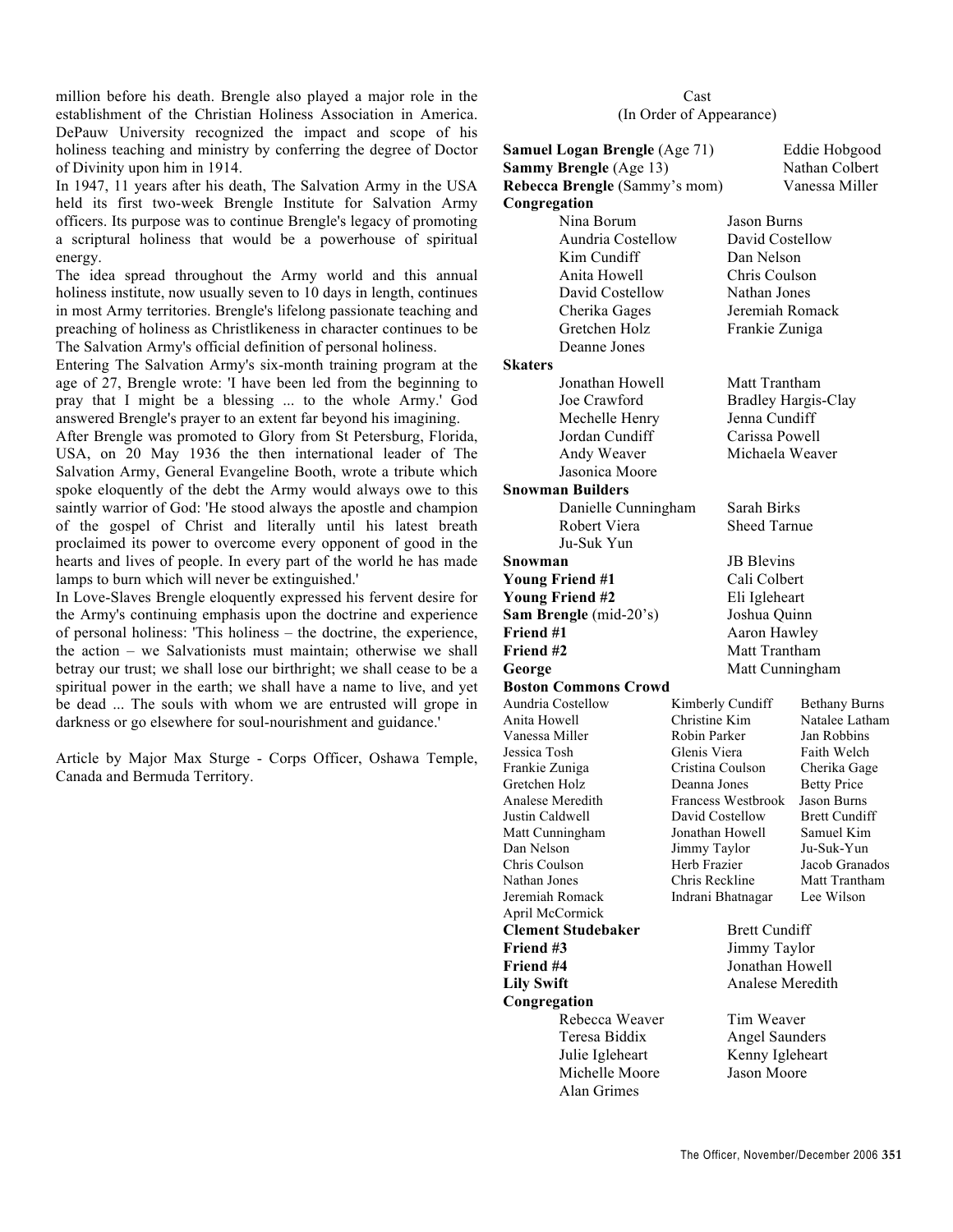million before his death. Brengle also played a major role in the establishment of the Christian Holiness Association in America. DePauw University recognized the impact and scope of his holiness teaching and ministry by conferring the degree of Doctor of Divinity upon him in 1914.

In 1947, 11 years after his death, The Salvation Army in the USA held its first two-week Brengle Institute for Salvation Army officers. Its purpose was to continue Brengle's legacy of promoting a scriptural holiness that would be a powerhouse of spiritual energy.

The idea spread throughout the Army world and this annual holiness institute, now usually seven to 10 days in length, continues in most Army territories. Brengle's lifelong passionate teaching and preaching of holiness as Christlikeness in character continues to be The Salvation Army's official definition of personal holiness.

Entering The Salvation Army's six-month training program at the age of 27, Brengle wrote: 'I have been led from the beginning to pray that I might be a blessing ... to the whole Army.' God answered Brengle's prayer to an extent far beyond his imagining.

After Brengle was promoted to Glory from St Petersburg, Florida, USA, on 20 May 1936 the then international leader of The Salvation Army, General Evangeline Booth, wrote a tribute which spoke eloquently of the debt the Army would always owe to this saintly warrior of God: 'He stood always the apostle and champion of the gospel of Christ and literally until his latest breath proclaimed its power to overcome every opponent of good in the hearts and lives of people. In every part of the world he has made lamps to burn which will never be extinguished.'

In Love-Slaves Brengle eloquently expressed his fervent desire for the Army's continuing emphasis upon the doctrine and experience of personal holiness: 'This holiness – the doctrine, the experience, the action – we Salvationists must maintain; otherwise we shall betray our trust; we shall lose our birthright; we shall cease to be a spiritual power in the earth; we shall have a name to live, and yet be dead ... The souls with whom we are entrusted will grope in darkness or go elsewhere for soul-nourishment and guidance.'

Article by Major Max Sturge - Corps Officer, Oshawa Temple, Canada and Bermuda Territory.

## Cast (In Order of Appearance)

| <b>Samuel Logan Brengle (Age 71)</b>                    |                               | Eddie Hobgood                   |                                  |
|---------------------------------------------------------|-------------------------------|---------------------------------|----------------------------------|
| Sammy Brengle (Age 13)<br>Rebecca Brengle (Sammy's mom) |                               |                                 | Nathan Colbert<br>Vanessa Miller |
| Congregation                                            |                               |                                 |                                  |
| Nina Borum                                              |                               |                                 |                                  |
| Aundria Costellow                                       |                               | Jason Burns<br>David Costellow  |                                  |
|                                                         |                               |                                 |                                  |
| Kim Cundiff                                             |                               | Dan Nelson                      |                                  |
| Anita Howell                                            |                               | Chris Coulson                   |                                  |
| David Costellow                                         |                               | Nathan Jones                    |                                  |
| Cherika Gages                                           |                               |                                 | Jeremiah Romack                  |
| Gretchen Holz                                           |                               | Frankie Zuniga                  |                                  |
| Deanne Jones                                            |                               |                                 |                                  |
| Skaters                                                 |                               |                                 |                                  |
| Jonathan Howell                                         |                               | Matt Trantham                   |                                  |
| Joe Crawford                                            |                               | <b>Bradley Hargis-Clay</b>      |                                  |
| Mechelle Henry                                          |                               | Jenna Cundiff                   |                                  |
| Jordan Cundiff                                          |                               | Carissa Powell                  |                                  |
| Andy Weaver                                             |                               | Michaela Weaver                 |                                  |
| Jasonica Moore                                          |                               |                                 |                                  |
| <b>Snowman Builders</b>                                 |                               |                                 |                                  |
| Danielle Cunningham                                     |                               | Sarah Birks                     |                                  |
| Robert Viera                                            |                               | <b>Sheed Tarnue</b>             |                                  |
| Ju-Suk Yun                                              |                               |                                 |                                  |
| Snowman                                                 |                               | <b>JB</b> Blevins               |                                  |
| <b>Young Friend #1</b>                                  |                               | Cali Colbert                    |                                  |
| <b>Young Friend #2</b>                                  |                               | Eli Igleheart                   |                                  |
| Sam Brengle (mid-20's)                                  |                               | Joshua Quinn                    |                                  |
| Friend #1                                               |                               | Aaron Hawley                    |                                  |
| Friend #2                                               |                               | Matt Trantham                   |                                  |
| George                                                  |                               |                                 | Matt Cunningham                  |
| Boston Commons Crowd                                    |                               |                                 |                                  |
| Aundria Costellow                                       | Kimberly Cundiff              |                                 | <b>Bethany Burns</b>             |
| Anita Howell                                            | Christine Kim<br>Robin Parker |                                 | Natalee Latham<br>Jan Robbins    |
| Vanessa Miller<br>Jessica Tosh                          | Glenis Viera                  |                                 | Faith Welch                      |
| Frankie Zuniga                                          | Cristina Coulson              |                                 | Cherika Gage                     |
| Gretchen Holz                                           | Deanna Jones                  |                                 | <b>Betty Price</b>               |
| Analese Meredith                                        |                               | Francess Westbrook              | <b>Jason Burns</b>               |
| Justin Caldwell                                         | David Costellow               |                                 | <b>Brett Cundiff</b>             |
| Matt Cunningham                                         | Jonathan Howell               |                                 | Samuel Kim                       |
| Dan Nelson                                              | Jimmy Taylor                  |                                 | Ju-Suk-Yun                       |
| Chris Coulson                                           | Herb Frazier                  |                                 | Jacob Granados                   |
| Nathan Jones                                            | Chris Reckline                |                                 | Matt Trantham                    |
| Jeremiah Romack                                         | Indrani Bhatnagar             |                                 | Lee Wilson                       |
| April McCormick<br><b>Clement Studebaker</b>            |                               |                                 |                                  |
|                                                         |                               | <b>Brett Cundiff</b>            |                                  |
| Friend #3                                               |                               | Jimmy Taylor<br>Jonathan Howell |                                  |
| Friend #4<br><b>Lily Swift</b>                          |                               | Analese Meredith                |                                  |
|                                                         |                               |                                 |                                  |
| Congregation                                            |                               |                                 |                                  |
| Rebecca Weaver                                          |                               | Tim Weaver                      |                                  |
| Teresa Biddix                                           |                               | <b>Angel Saunders</b>           |                                  |
| Julie Igleheart                                         |                               | Kenny Igleheart                 |                                  |
| Michelle Moore                                          |                               | <b>Jason Moore</b>              |                                  |
| <b>Alan Grimes</b>                                      |                               |                                 |                                  |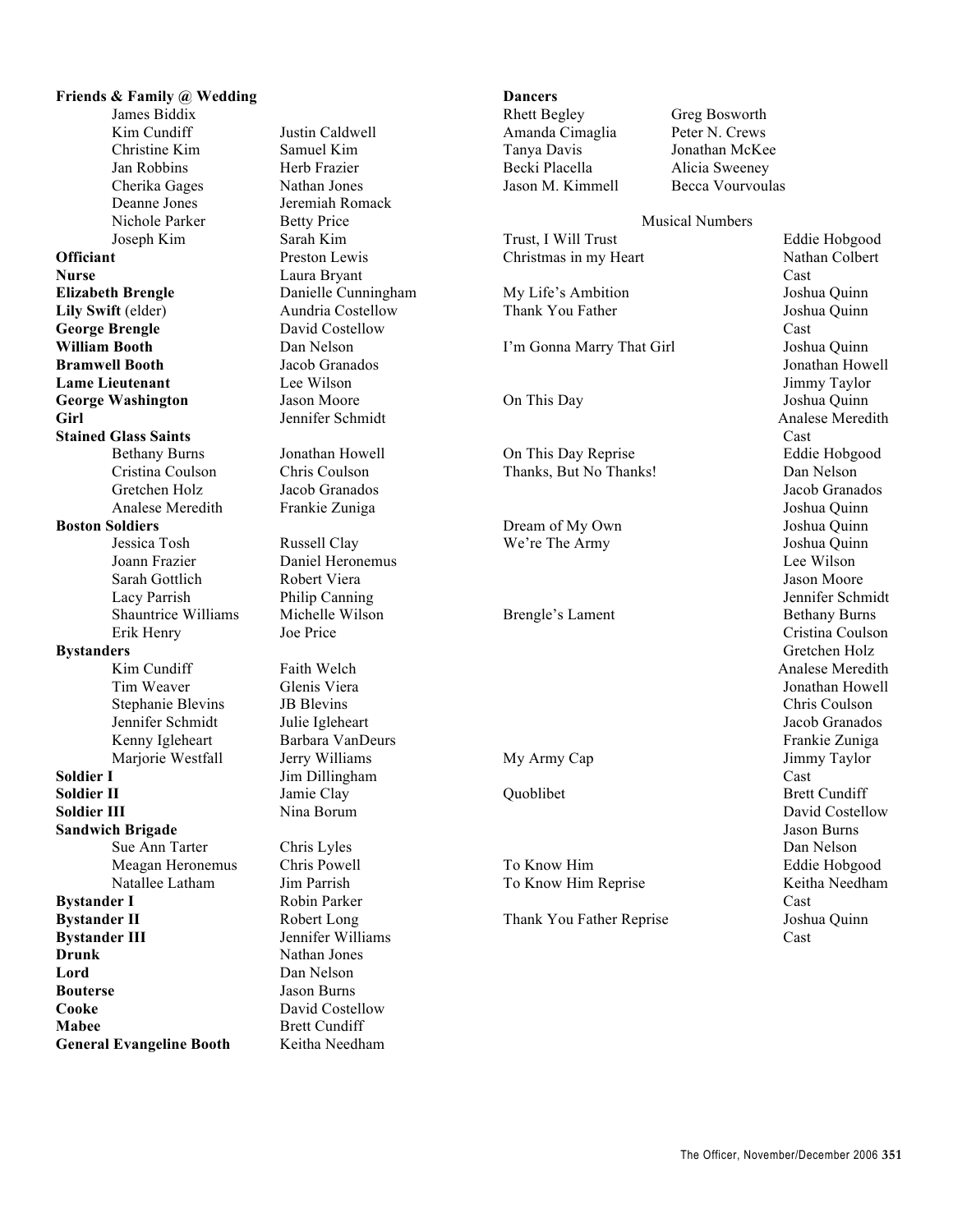**Friends & Family @ Wedding** James Biddix Kim Cundiff Justin Caldwell Christine Kim Samuel Kim Jan Robbins Herb Frazier Cherika Gages Nathan Jones Deanne Jones Jeremiah Romack Nichole Parker Betty Price Joseph Kim Sarah Kim **Officiant** Preston Lewis **Nurse** Laura Bryant **Elizabeth Brengle** Danielle Cunningham **Lily Swift** (elder) Aundria Costellow George Brengle David Costellow **William Booth** Dan Nelson **Bramwell Booth** Jacob Granados **Lame Lieutenant** Lee Wilson **George Washington** Jason Moore **Girl** Jennifer Schmidt **Stained Glass Saints** Bethany Burns Jonathan Howell Cristina Coulson Chris Coulson Gretchen Holz Jacob Granados Analese Meredith Frankie Zuniga **Boston Soldiers** Jessica Tosh Russell Clay Joann Frazier Daniel Heronemus Sarah Gottlich Robert Viera Lacy Parrish Philip Canning Shauntrice Williams Michelle Wilson Erik Henry Joe Price **Bystanders** Kim Cundiff Faith Welch Tim Weaver Glenis Viera Stephanie Blevins JB Blevins Jennifer Schmidt Julie Igleheart Kenny Igleheart Barbara VanDeurs Marjorie Westfall Jerry Williams **Soldier I** Jim Dillingham **Soldier II** Jamie Clay **Soldier III** Nina Borum **Sandwich Brigade** Sue Ann Tarter Chris Lyles Meagan Heronemus Chris Powell Natallee Latham Jim Parrish **Bystander I** Robin Parker **Bystander II** Robert Long **Bystander III** Jennifer Williams **Drunk** Nathan Jones **Lord** Dan Nelson **Bouterse** Jason Burns **Cooke** David Costellow **Mabee** Brett Cundiff **General Evangeline Booth** Keitha Needham

## **Dancers**

Rhett Begley Greg Bosworth Amanda Cimaglia Peter N. Crews Becki Placella Alicia Sweeney

Jonathan McKee Jason M. Kimmell Becca Vourvoulas

## Musical Numbers

Trust, I Will Trust Eddie Hobgood Christmas in my Heart Nathan Colbert Cast My Life's Ambition Joshua Quinn Thank You Father Joshua Quinn Cast I'm Gonna Marry That Girl Joshua Quinn Jonathan Howell Jimmy Taylor On This Day Joshua Quinn Analese Meredith Cast On This Day Reprise Eddie Hobgood Thanks, But No Thanks! Dan Nelson Jacob Granados Joshua Quinn Dream of My Own Joshua Quinn We're The Army Joshua Quinn Lee Wilson Jason Moore Jennifer Schmidt Brengle's Lament Bethany Burns Cristina Coulson Gretchen Holz Analese Meredith Jonathan Howell Chris Coulson Jacob Granados Frankie Zuniga My Army Cap Jimmy Taylor Cast Quoblibet Brett Cundiff David Costellow Jason Burns Dan Nelson To Know Him Eddie Hobgood To Know Him Reprise Keitha Needham Cast Thank You Father Reprise Joshua Quinn Cast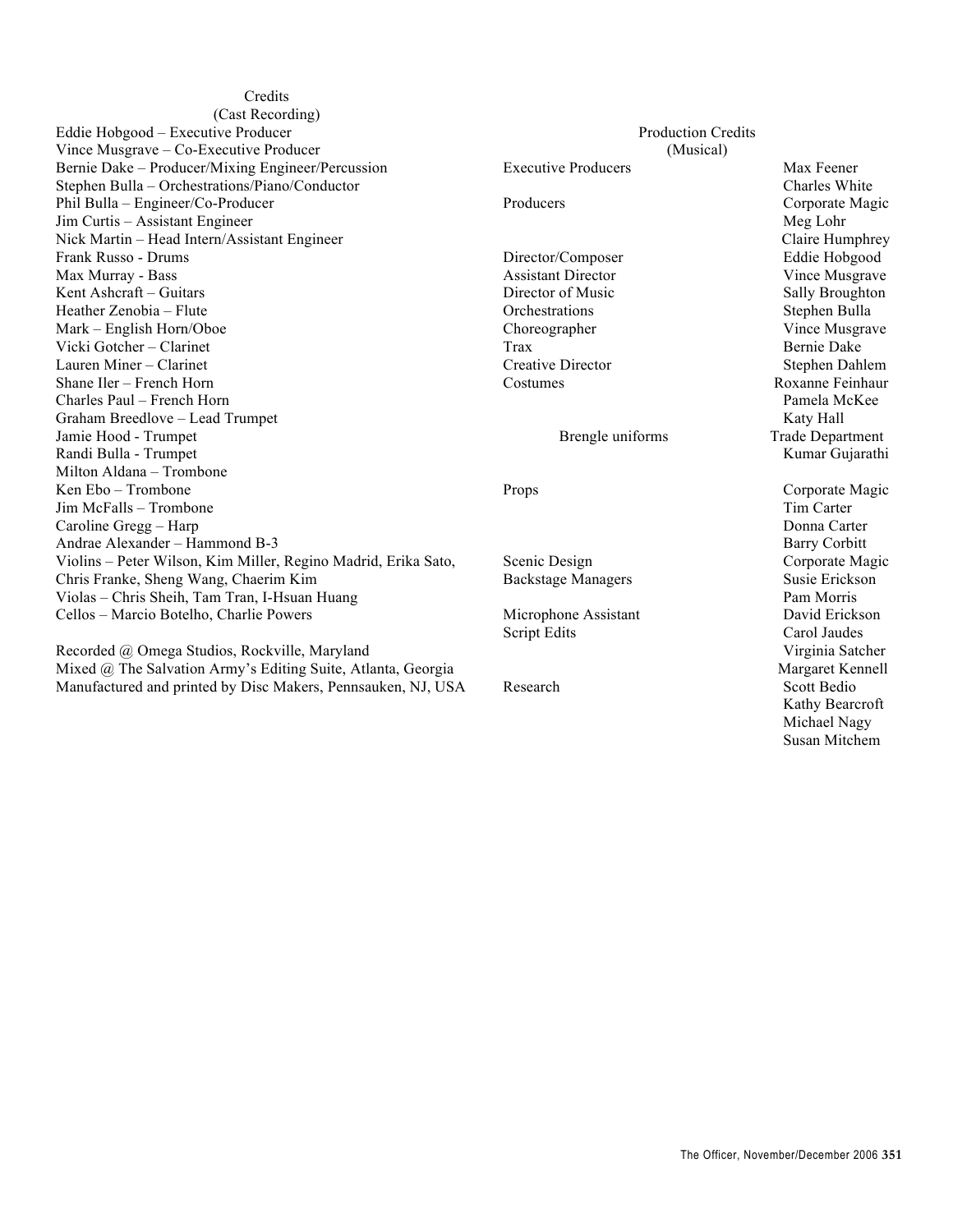**Credits** (Cast Recording) Eddie Hobgood – Executive Producer Vince Musgrave – Co-Executive Producer Bernie Dake – Producer/Mixing Engineer/Percussion Stephen Bulla – Orchestrations/Piano/Conductor Phil Bulla – Engineer/Co-Producer Jim Curtis – Assistant Engineer Nick Martin – Head Intern/Assistant Engineer Frank Russo - Drums Max Murray - Bass Kent Ashcraft – Guitars Heather Zenobia – Flute Mark – English Horn/Oboe Vicki Gotcher – Clarinet Lauren Miner – Clarinet Shane Iler – French Horn Charles Paul – French Horn Graham Breedlove – Lead Trumpet Jamie Hood - Trumpet Randi Bulla - Trumpet Milton Aldana – Trombone Ken Ebo – Trombone Jim McFalls – Trombone Caroline Gregg – Harp Andrae Alexander – Hammond B-3 Violins – Peter Wilson, Kim Miller, Regino Madrid, Erika Sato, Chris Franke, Sheng Wang, Chaerim Kim Violas – Chris Sheih, Tam Tran, I-Hsuan Huang Cellos – Marcio Botelho, Charlie Powers

Recorded @ Omega Studios, Rockville, Maryland Mixed @ The Salvation Army's Editing Suite, Atlanta, Georgia Manufactured and printed by Disc Makers, Pennsauken, NJ, USA

Production Credits (Musical) Executive Producers Max Feener Charles White Producers Corporate Magic Meg Lohr Claire Humphrey Director/Composer Eddie Hobgood Assistant Director Vince Musgrave Director of Music Sally Broughton Orchestrations Stephen Bulla Choreographer Vince Musgrave Trax Bernie Dake Creative Director Stephen Dahlem Costumes Roxanne Feinhaur Pamela McKee Katy Hall Brengle uniforms Trade Department Kumar Gujarathi Props Corporate Magic Tim Carter Donna Carter Barry Corbitt Scenic Design Corporate Magic Backstage Managers Susie Erickson Pam Morris Microphone Assistant David Erickson Script Edits Carol Jaudes Virginia Satcher Margaret Kennell Research Scott Bedio Kathy Bearcroft Michael Nagy

Susan Mitchem